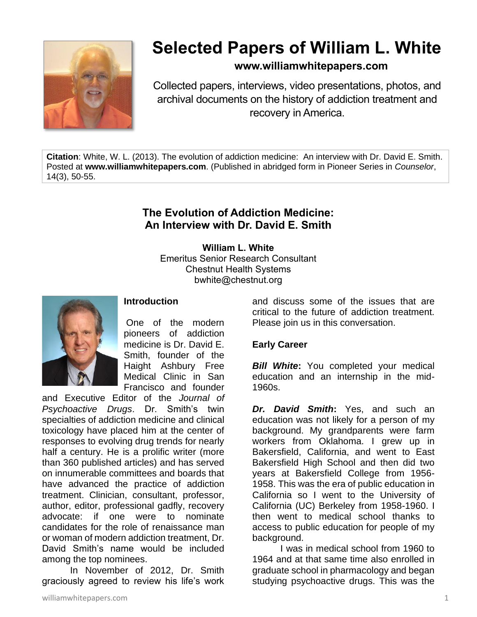

# **Selected Papers of William L. White**

# **www.williamwhitepapers.com**

Collected papers, interviews, video presentations, photos, and archival documents on the history of addiction treatment and recovery in America.

**Citation**: White, W. L. (2013). The evolution of addiction medicine: An interview with Dr. David E. Smith. Posted at **www.williamwhitepapers.com**. (Published in abridged form in Pioneer Series in *Counselor*, 14(3), 50-55.

# **The Evolution of Addiction Medicine: An Interview with Dr. David E. Smith**

**William L. White** Emeritus Senior Research Consultant Chestnut Health Systems bwhite@chestnut.org



# **Introduction**

One of the modern pioneers of addiction medicine is Dr. David E. Smith, founder of the Haight Ashbury Free Medical Clinic in San Francisco and founder

and Executive Editor of the *Journal of Psychoactive Drugs*. Dr. Smith's twin specialties of addiction medicine and clinical toxicology have placed him at the center of responses to evolving drug trends for nearly half a century. He is a prolific writer (more than 360 published articles) and has served on innumerable committees and boards that have advanced the practice of addiction treatment. Clinician, consultant, professor, author, editor, professional gadfly, recovery advocate: if one were to nominate candidates for the role of renaissance man or woman of modern addiction treatment, Dr. David Smith's name would be included among the top nominees.

In November of 2012, Dr. Smith graciously agreed to review his life's work

and discuss some of the issues that are critical to the future of addiction treatment. Please join us in this conversation.

# **Early Career**

**Bill White:** You completed your medical education and an internship in the mid-1960s.

*Dr. David Smith***:** Yes, and such an education was not likely for a person of my background. My grandparents were farm workers from Oklahoma. I grew up in Bakersfield, California, and went to East Bakersfield High School and then did two years at Bakersfield College from 1956- 1958. This was the era of public education in California so I went to the University of California (UC) Berkeley from 1958-1960. I then went to medical school thanks to access to public education for people of my background.

I was in medical school from 1960 to 1964 and at that same time also enrolled in graduate school in pharmacology and began studying psychoactive drugs. This was the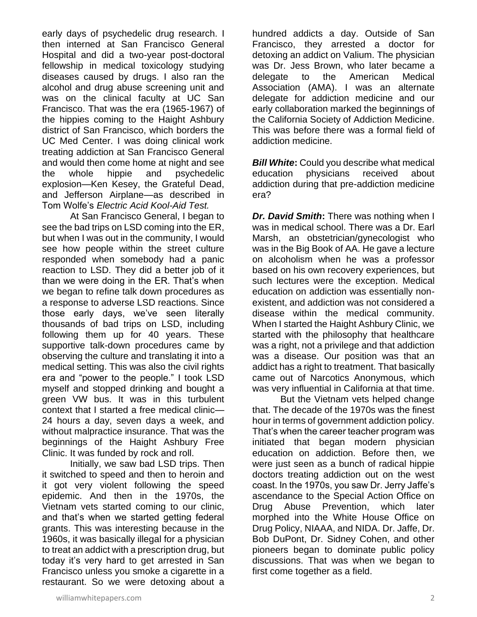early days of psychedelic drug research. I then interned at San Francisco General Hospital and did a two-year post-doctoral fellowship in medical toxicology studying diseases caused by drugs. I also ran the alcohol and drug abuse screening unit and was on the clinical faculty at UC San Francisco. That was the era (1965-1967) of the hippies coming to the Haight Ashbury district of San Francisco, which borders the UC Med Center. I was doing clinical work treating addiction at San Francisco General and would then come home at night and see the whole hippie and psychedelic explosion—Ken Kesey, the Grateful Dead, and Jefferson Airplane—as described in Tom Wolfe's *Electric Acid Kool-Aid Test.*

At San Francisco General, I began to see the bad trips on LSD coming into the ER, but when I was out in the community, I would see how people within the street culture responded when somebody had a panic reaction to LSD. They did a better job of it than we were doing in the ER. That's when we began to refine talk down procedures as a response to adverse LSD reactions. Since those early days, we've seen literally thousands of bad trips on LSD, including following them up for 40 years. These supportive talk-down procedures came by observing the culture and translating it into a medical setting. This was also the civil rights era and "power to the people." I took LSD myself and stopped drinking and bought a green VW bus. It was in this turbulent context that I started a free medical clinic— 24 hours a day, seven days a week, and without malpractice insurance. That was the beginnings of the Haight Ashbury Free Clinic. It was funded by rock and roll.

Initially, we saw bad LSD trips. Then it switched to speed and then to heroin and it got very violent following the speed epidemic. And then in the 1970s, the Vietnam vets started coming to our clinic, and that's when we started getting federal grants. This was interesting because in the 1960s, it was basically illegal for a physician to treat an addict with a prescription drug, but today it's very hard to get arrested in San Francisco unless you smoke a cigarette in a restaurant. So we were detoxing about a hundred addicts a day. Outside of San Francisco, they arrested a doctor for detoxing an addict on Valium. The physician was Dr. Jess Brown, who later became a delegate to the American Medical Association (AMA). I was an alternate delegate for addiction medicine and our early collaboration marked the beginnings of the California Society of Addiction Medicine. This was before there was a formal field of addiction medicine.

**Bill White:** Could you describe what medical education physicians received about addiction during that pre-addiction medicine era?

*Dr. David Smith: There was nothing when I* was in medical school. There was a Dr. Earl Marsh, an obstetrician/gynecologist who was in the Big Book of AA. He gave a lecture on alcoholism when he was a professor based on his own recovery experiences, but such lectures were the exception. Medical education on addiction was essentially nonexistent, and addiction was not considered a disease within the medical community. When I started the Haight Ashbury Clinic, we started with the philosophy that healthcare was a right, not a privilege and that addiction was a disease. Our position was that an addict has a right to treatment. That basically came out of Narcotics Anonymous, which was very influential in California at that time.

But the Vietnam vets helped change that. The decade of the 1970s was the finest hour in terms of government addiction policy. That's when the career teacher program was initiated that began modern physician education on addiction. Before then, we were just seen as a bunch of radical hippie doctors treating addiction out on the west coast. In the 1970s, you saw Dr. Jerry Jaffe's ascendance to the Special Action Office on Drug Abuse Prevention, which later morphed into the White House Office on Drug Policy, NIAAA, and NIDA. Dr. Jaffe, Dr. Bob DuPont, Dr. Sidney Cohen, and other pioneers began to dominate public policy discussions. That was when we began to first come together as a field.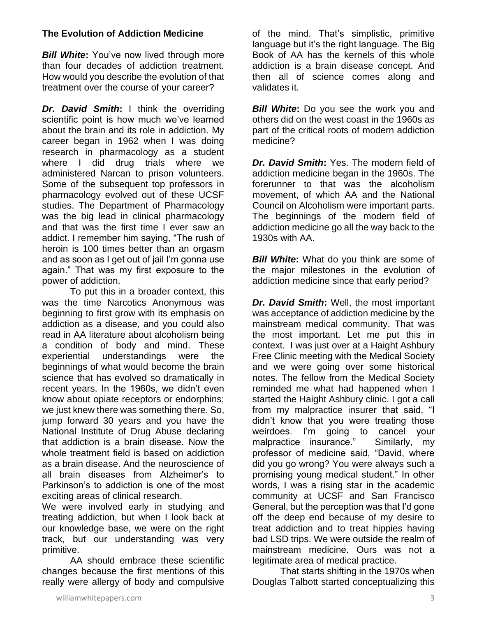# **The Evolution of Addiction Medicine**

*Bill White:* You've now lived through more than four decades of addiction treatment. How would you describe the evolution of that treatment over the course of your career?

**Dr. David Smith:** I think the overriding scientific point is how much we've learned about the brain and its role in addiction. My career began in 1962 when I was doing research in pharmacology as a student where I did drug trials where we administered Narcan to prison volunteers. Some of the subsequent top professors in pharmacology evolved out of these UCSF studies. The Department of Pharmacology was the big lead in clinical pharmacology and that was the first time I ever saw an addict. I remember him saying, "The rush of heroin is 100 times better than an orgasm and as soon as I get out of jail I'm gonna use again." That was my first exposure to the power of addiction.

To put this in a broader context, this was the time Narcotics Anonymous was beginning to first grow with its emphasis on addiction as a disease, and you could also read in AA literature about alcoholism being a condition of body and mind. These experiential understandings were the beginnings of what would become the brain science that has evolved so dramatically in recent years. In the 1960s, we didn't even know about opiate receptors or endorphins; we just knew there was something there. So, jump forward 30 years and you have the National Institute of Drug Abuse declaring that addiction is a brain disease. Now the whole treatment field is based on addiction as a brain disease. And the neuroscience of all brain diseases from Alzheimer's to Parkinson's to addiction is one of the most exciting areas of clinical research.

We were involved early in studying and treating addiction, but when I look back at our knowledge base, we were on the right track, but our understanding was very primitive.

AA should embrace these scientific changes because the first mentions of this really were allergy of body and compulsive of the mind. That's simplistic, primitive language but it's the right language. The Big Book of AA has the kernels of this whole addiction is a brain disease concept. And then all of science comes along and validates it.

*Bill White:* Do you see the work you and others did on the west coast in the 1960s as part of the critical roots of modern addiction medicine?

*Dr. David Smith***:** Yes. The modern field of addiction medicine began in the 1960s. The forerunner to that was the alcoholism movement, of which AA and the National Council on Alcoholism were important parts. The beginnings of the modern field of addiction medicine go all the way back to the 1930s with AA.

*Bill White***:** What do you think are some of the major milestones in the evolution of addiction medicine since that early period?

*Dr. David Smith***:** Well, the most important was acceptance of addiction medicine by the mainstream medical community. That was the most important. Let me put this in context. I was just over at a Haight Ashbury Free Clinic meeting with the Medical Society and we were going over some historical notes. The fellow from the Medical Society reminded me what had happened when I started the Haight Ashbury clinic. I got a call from my malpractice insurer that said, "I didn't know that you were treating those weirdoes. I'm going to cancel your malpractice insurance." Similarly, my professor of medicine said, "David, where did you go wrong? You were always such a promising young medical student." In other words, I was a rising star in the academic community at UCSF and San Francisco General, but the perception was that I'd gone off the deep end because of my desire to treat addiction and to treat hippies having bad LSD trips. We were outside the realm of mainstream medicine. Ours was not a legitimate area of medical practice.

That starts shifting in the 1970s when Douglas Talbott started conceptualizing this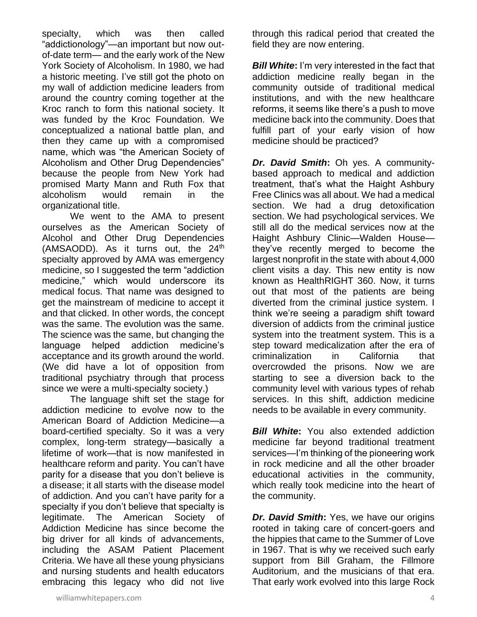specialty, which was then called "addictionology"—an important but now outof-date term— and the early work of the New York Society of Alcoholism. In 1980, we had a historic meeting. I've still got the photo on my wall of addiction medicine leaders from around the country coming together at the Kroc ranch to form this national society. It was funded by the Kroc Foundation. We conceptualized a national battle plan, and then they came up with a compromised name, which was "the American Society of Alcoholism and Other Drug Dependencies" because the people from New York had promised Marty Mann and Ruth Fox that alcoholism would remain in the organizational title.

We went to the AMA to present ourselves as the American Society of Alcohol and Other Drug Dependencies (AMSAODD). As it turns out, the 24<sup>th</sup> specialty approved by AMA was emergency medicine, so I suggested the term "addiction medicine," which would underscore its medical focus. That name was designed to get the mainstream of medicine to accept it and that clicked. In other words, the concept was the same. The evolution was the same. The science was the same, but changing the language helped addiction medicine's acceptance and its growth around the world. (We did have a lot of opposition from traditional psychiatry through that process since we were a multi-specialty society.)

The language shift set the stage for addiction medicine to evolve now to the American Board of Addiction Medicine—a board-certified specialty. So it was a very complex, long-term strategy—basically a lifetime of work—that is now manifested in healthcare reform and parity. You can't have parity for a disease that you don't believe is a disease; it all starts with the disease model of addiction. And you can't have parity for a specialty if you don't believe that specialty is legitimate. The American Society of Addiction Medicine has since become the big driver for all kinds of advancements, including the ASAM Patient Placement Criteria. We have all these young physicians and nursing students and health educators embracing this legacy who did not live

through this radical period that created the field they are now entering.

*Bill White:* I'm very interested in the fact that addiction medicine really began in the community outside of traditional medical institutions, and with the new healthcare reforms, it seems like there's a push to move medicine back into the community. Does that fulfill part of your early vision of how medicine should be practiced?

*Dr. David Smith***:** Oh yes. A communitybased approach to medical and addiction treatment, that's what the Haight Ashbury Free Clinics was all about. We had a medical section. We had a drug detoxification section. We had psychological services. We still all do the medical services now at the Haight Ashbury Clinic—Walden House they've recently merged to become the largest nonprofit in the state with about 4,000 client visits a day. This new entity is now known as HealthRIGHT 360. Now, it turns out that most of the patients are being diverted from the criminal justice system. I think we're seeing a paradigm shift toward diversion of addicts from the criminal justice system into the treatment system. This is a step toward medicalization after the era of criminalization in California that overcrowded the prisons. Now we are starting to see a diversion back to the community level with various types of rehab services. In this shift, addiction medicine needs to be available in every community.

*Bill White*: You also extended addiction medicine far beyond traditional treatment services—I'm thinking of the pioneering work in rock medicine and all the other broader educational activities in the community, which really took medicine into the heart of the community.

*Dr. David Smith***:** Yes, we have our origins rooted in taking care of concert-goers and the hippies that came to the Summer of Love in 1967. That is why we received such early support from Bill Graham, the Fillmore Auditorium, and the musicians of that era. That early work evolved into this large Rock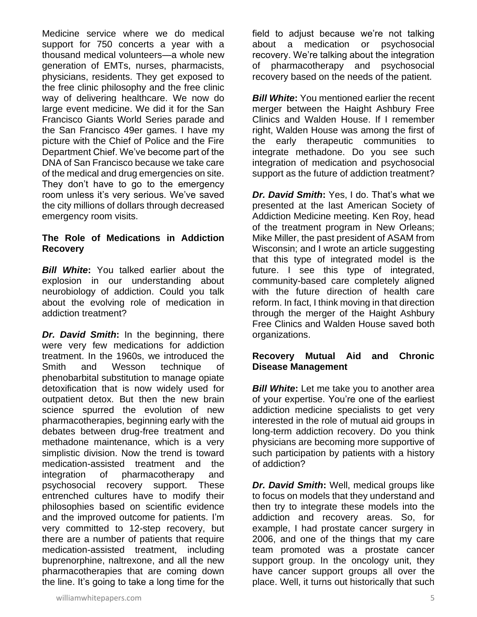Medicine service where we do medical support for 750 concerts a year with a thousand medical volunteers—a whole new generation of EMTs, nurses, pharmacists, physicians, residents. They get exposed to the free clinic philosophy and the free clinic way of delivering healthcare. We now do large event medicine. We did it for the San Francisco Giants World Series parade and the San Francisco 49er games. I have my picture with the Chief of Police and the Fire Department Chief. We've become part of the DNA of San Francisco because we take care of the medical and drug emergencies on site. They don't have to go to the emergency room unless it's very serious. We've saved the city millions of dollars through decreased emergency room visits.

#### **The Role of Medications in Addiction Recovery**

*Bill White***:** You talked earlier about the explosion in our understanding about neurobiology of addiction. Could you talk about the evolving role of medication in addiction treatment?

*Dr. David Smith***:** In the beginning, there were very few medications for addiction treatment. In the 1960s, we introduced the Smith and Wesson technique of phenobarbital substitution to manage opiate detoxification that is now widely used for outpatient detox. But then the new brain science spurred the evolution of new pharmacotherapies, beginning early with the debates between drug-free treatment and methadone maintenance, which is a very simplistic division. Now the trend is toward medication-assisted treatment and the integration of pharmacotherapy and psychosocial recovery support. These entrenched cultures have to modify their philosophies based on scientific evidence and the improved outcome for patients. I'm very committed to 12-step recovery, but there are a number of patients that require medication-assisted treatment, including buprenorphine, naltrexone, and all the new pharmacotherapies that are coming down the line. It's going to take a long time for the

field to adjust because we're not talking about a medication or psychosocial recovery. We're talking about the integration of pharmacotherapy and psychosocial recovery based on the needs of the patient.

*Bill White***:** You mentioned earlier the recent merger between the Haight Ashbury Free Clinics and Walden House. If I remember right, Walden House was among the first of the early therapeutic communities to integrate methadone. Do you see such integration of medication and psychosocial support as the future of addiction treatment?

*Dr. David Smith***:** Yes, I do. That's what we presented at the last American Society of Addiction Medicine meeting. Ken Roy, head of the treatment program in New Orleans; Mike Miller, the past president of ASAM from Wisconsin; and I wrote an article suggesting that this type of integrated model is the future. I see this type of integrated, community-based care completely aligned with the future direction of health care reform. In fact, I think moving in that direction through the merger of the Haight Ashbury Free Clinics and Walden House saved both organizations.

# **Recovery Mutual Aid and Chronic Disease Management**

*Bill White*: Let me take you to another area of your expertise. You're one of the earliest addiction medicine specialists to get very interested in the role of mutual aid groups in long-term addiction recovery. Do you think physicians are becoming more supportive of such participation by patients with a history of addiction?

*Dr. David Smith***:** Well, medical groups like to focus on models that they understand and then try to integrate these models into the addiction and recovery areas. So, for example, I had prostate cancer surgery in 2006, and one of the things that my care team promoted was a prostate cancer support group. In the oncology unit, they have cancer support groups all over the place. Well, it turns out historically that such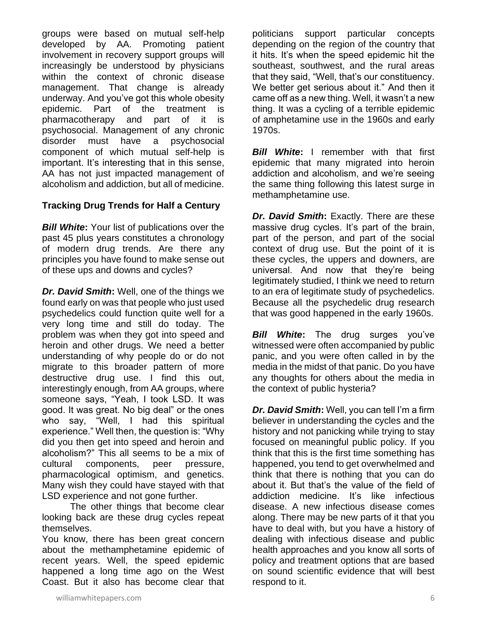groups were based on mutual self-help developed by AA. Promoting patient involvement in recovery support groups will increasingly be understood by physicians within the context of chronic disease management. That change is already underway. And you've got this whole obesity epidemic. Part of the treatment is pharmacotherapy and part of it is psychosocial. Management of any chronic disorder must have a psychosocial component of which mutual self-help is important. It's interesting that in this sense, AA has not just impacted management of alcoholism and addiction, but all of medicine.

# **Tracking Drug Trends for Half a Century**

*Bill White***:** Your list of publications over the past 45 plus years constitutes a chronology of modern drug trends. Are there any principles you have found to make sense out of these ups and downs and cycles?

*Dr. David Smith***:** Well, one of the things we found early on was that people who just used psychedelics could function quite well for a very long time and still do today. The problem was when they got into speed and heroin and other drugs. We need a better understanding of why people do or do not migrate to this broader pattern of more destructive drug use. I find this out, interestingly enough, from AA groups, where someone says, "Yeah, I took LSD. It was good. It was great. No big deal" or the ones who say, "Well, I had this spiritual experience." Well then, the question is: "Why did you then get into speed and heroin and alcoholism?" This all seems to be a mix of cultural components, peer pressure, pharmacological optimism, and genetics. Many wish they could have stayed with that LSD experience and not gone further.

The other things that become clear looking back are these drug cycles repeat themselves.

You know, there has been great concern about the methamphetamine epidemic of recent years. Well, the speed epidemic happened a long time ago on the West Coast. But it also has become clear that politicians support particular concepts depending on the region of the country that it hits. It's when the speed epidemic hit the southeast, southwest, and the rural areas that they said, "Well, that's our constituency. We better get serious about it." And then it came off as a new thing. Well, it wasn't a new thing. It was a cycling of a terrible epidemic of amphetamine use in the 1960s and early 1970s.

*Bill White***:** I remember with that first epidemic that many migrated into heroin addiction and alcoholism, and we're seeing the same thing following this latest surge in methamphetamine use.

*Dr. David Smith***:** Exactly. There are these massive drug cycles. It's part of the brain, part of the person, and part of the social context of drug use. But the point of it is these cycles, the uppers and downers, are universal. And now that they're being legitimately studied, I think we need to return to an era of legitimate study of psychedelics. Because all the psychedelic drug research that was good happened in the early 1960s.

*Bill White***:** The drug surges you've witnessed were often accompanied by public panic, and you were often called in by the media in the midst of that panic. Do you have any thoughts for others about the media in the context of public hysteria?

*Dr. David Smith***:** Well, you can tell I'm a firm believer in understanding the cycles and the history and not panicking while trying to stay focused on meaningful public policy. If you think that this is the first time something has happened, you tend to get overwhelmed and think that there is nothing that you can do about it. But that's the value of the field of addiction medicine. It's like infectious disease. A new infectious disease comes along. There may be new parts of it that you have to deal with, but you have a history of dealing with infectious disease and public health approaches and you know all sorts of policy and treatment options that are based on sound scientific evidence that will best respond to it.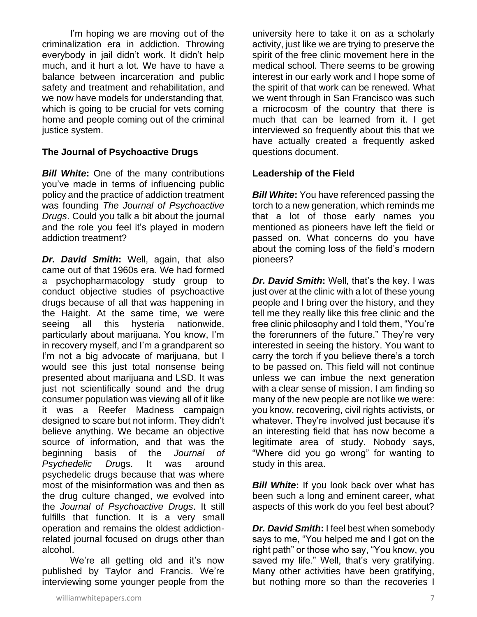I'm hoping we are moving out of the criminalization era in addiction. Throwing everybody in jail didn't work. It didn't help much, and it hurt a lot. We have to have a balance between incarceration and public safety and treatment and rehabilitation, and we now have models for understanding that, which is going to be crucial for vets coming home and people coming out of the criminal justice system.

#### **The Journal of Psychoactive Drugs**

*Bill White***:** One of the many contributions you've made in terms of influencing public policy and the practice of addiction treatment was founding *The Journal of Psychoactive Drugs*. Could you talk a bit about the journal and the role you feel it's played in modern addiction treatment?

*Dr. David Smith***:** Well, again, that also came out of that 1960s era. We had formed a psychopharmacology study group to conduct objective studies of psychoactive drugs because of all that was happening in the Haight. At the same time, we were seeing all this hysteria nationwide, particularly about marijuana. You know, I'm in recovery myself, and I'm a grandparent so I'm not a big advocate of marijuana, but I would see this just total nonsense being presented about marijuana and LSD. It was just not scientifically sound and the drug consumer population was viewing all of it like it was a Reefer Madness campaign designed to scare but not inform. They didn't believe anything. We became an objective source of information, and that was the beginning basis of the *Journal of Psychedelic Dru*gs. It was around psychedelic drugs because that was where most of the misinformation was and then as the drug culture changed, we evolved into the *Journal of Psychoactive Drugs*. It still fulfills that function. It is a very small operation and remains the oldest addictionrelated journal focused on drugs other than alcohol.

We're all getting old and it's now published by Taylor and Francis. We're interviewing some younger people from the

university here to take it on as a scholarly activity, just like we are trying to preserve the spirit of the free clinic movement here in the medical school. There seems to be growing interest in our early work and I hope some of the spirit of that work can be renewed. What we went through in San Francisco was such a microcosm of the country that there is much that can be learned from it. I get interviewed so frequently about this that we have actually created a frequently asked questions document.

#### **Leadership of the Field**

*Bill White***:** You have referenced passing the torch to a new generation, which reminds me that a lot of those early names you mentioned as pioneers have left the field or passed on. What concerns do you have about the coming loss of the field's modern pioneers?

*Dr. David Smith***:** Well, that's the key. I was just over at the clinic with a lot of these young people and I bring over the history, and they tell me they really like this free clinic and the free clinic philosophy and I told them, "You're the forerunners of the future." They're very interested in seeing the history. You want to carry the torch if you believe there's a torch to be passed on. This field will not continue unless we can imbue the next generation with a clear sense of mission. I am finding so many of the new people are not like we were: you know, recovering, civil rights activists, or whatever. They're involved just because it's an interesting field that has now become a legitimate area of study. Nobody says, "Where did you go wrong" for wanting to study in this area.

**Bill White:** If you look back over what has been such a long and eminent career, what aspects of this work do you feel best about?

*Dr. David Smith***:** I feel best when somebody says to me, "You helped me and I got on the right path" or those who say, "You know, you saved my life." Well, that's very gratifying. Many other activities have been gratifying, but nothing more so than the recoveries I